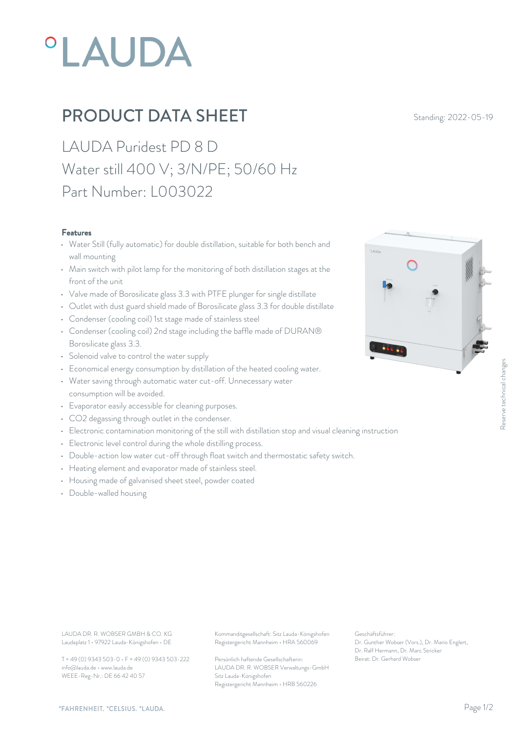# *OLAUDA*

## **PRODUCT DATA SHEET** Standing: 2022-05-19

LAUDA Puridest PD 8 D Water still 400 V; 3/N/PE; 50/60 Hz Part Number: L003022

#### Features

- Water Still (fully automatic) for double distillation, suitable for both bench and wall mounting
- Main switch with pilot lamp for the monitoring of both distillation stages at the front of the unit
- Valve made of Borosilicate glass 3.3 with PTFE plunger for single distillate
- Outlet with dust guard shield made of Borosilicate glass 3.3 for double distillate
- Condenser (cooling coil) 1st stage made of stainless steel
- Condenser (cooling coil) 2nd stage including the baffle made of DURAN® Borosilicate glass 3.3.
- Solenoid valve to control the water supply
- Economical energy consumption by distillation of the heated cooling water.
- Water saving through automatic water cut-off. Unnecessary water consumption will be avoided. • Economical energy consumption by distillation of the heated cooling water.<br>• Water saving through automatic water cut-off. Unnecessary water<br>• Evaporator easily accessible for cleaning purposes.<br>• CO2 degassing through o
- Evaporator easily accessible for cleaning purposes.
- CO2 degassing through outlet in the condenser.
- 
- Electronic level control during the whole distilling process.
- Double-action low water cut-off through float switch and thermostatic safety switch.
- Heating element and evaporator made of stainless steel.
- Housing made of galvanised sheet steel, powder coated
- Double-walled housing



Laudaplatz 1 • 97922 Lauda-Königshofen • DE

T + 49 (0) 9343 503-0 • F + 49 (0) 9343 503-222 info@lauda.de • www.lauda.de WEEE-Reg-Nr.: DE 66 42 40 57

LAUDA DR. R. WOBSER GMBH & CO. KG Kommanditgesellschaft: Sitz Lauda-Königshofen Geschäftsführer: Registergericht Mannheim • HRA 560069

> Persönlich haftende Gesellschafterin: Beirat: Dr. Gerhard Wobse LAUDA DR. R. WOBSER Verwaltungs-GmbH Sitz Lauda-Königshofen Registergericht Mannheim • HRB 560226

Geschäftsführer: Dr. Gunther Wobser (Vors.), Dr. Mario Englert, Dr. Ralf Hermann, Dr. Marc Stricker Beschäftsführer:<br>Beischäftsführer:<br>Dr. Gunther Wobser (Vors.), Dr. Mario Englert,<br>Dr. Ralf Hermann, Dr. Marc Stricker<br>Beirat: Dr. Gerhard Wobser